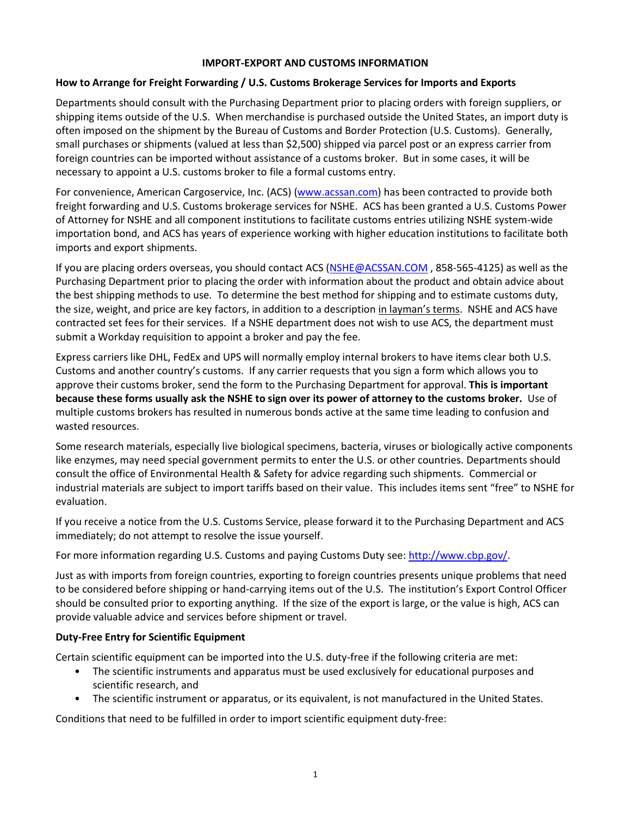## **IMPORT-EXPORT AND CUSTOMS INFORMATION**

## **How to Arrange for Freight Forwarding / U.S. Customs Brokerage Services for Imports and Exports**

Departments should consult with the Purchasing Department prior to placing orders with foreign suppliers, or shipping items outside of the U.S. When merchandise is purchased outside the United States, an import duty is often imposed on the shipment by the Bureau of Customs and Border Protection (U.S. Customs). Generally, small purchases or shipments (valued at less than \$2,500) shipped via parcel post or an express carrier from foreign countries can be imported without assistance of a customs broker. But in some cases, it will be necessary to appoint a U.S. customs broker to file a formal customs entry.

For convenience, American Cargoservice, Inc. (ACS) [\(www.acssan.com\)](http://www.acssan.com/) has been contracted to provide both freight forwarding and U.S. Customs brokerage services for NSHE. ACS has been granted a U.S. Customs Power of Attorney for NSHE and all component institutions to facilitate customs entries utilizing NSHE system-wide importation bond, and ACS has years of experience working with higher education institutions to facilitate both imports and export shipments.

If you are placing orders overseas, you should contact ACS [\(NSHE@ACSSAN.COM](mailto:NSHE@ACSSAN.COM) , 858-565-4125) as well as the Purchasing Department prior to placing the order with information about the product and obtain advice about the best shipping methods to use. To determine the best method for shipping and to estimate customs duty, the size, weight, and price are key factors, in addition to a description in layman's terms. NSHE and ACS have contracted set fees for their services. If a NSHE department does not wish to use ACS, the department must submit a Workday requisition to appoint a broker and pay the fee.

Express carriers like DHL, FedEx and UPS will normally employ internal brokers to have items clear both U.S. Customs and another country's customs. If any carrier requests that you sign a form which allows you to approve their customs broker, send the form to the Purchasing Department for approval. **This is important because these forms usually ask the NSHE to sign over its power of attorney to the customs broker.** Use of multiple customs brokers has resulted in numerous bonds active at the same time leading to confusion and wasted resources.

Some research materials, especially live biological specimens, bacteria, viruses or biologically active components like enzymes, may need special government permits to enter the U.S. or other countries. Departments should consult the office of Environmental Health & Safety for advice regarding such shipments. Commercial or industrial materials are subject to import tariffs based on their value. This includes items sent "free" to NSHE for evaluation.

If you receive a notice from the U.S. Customs Service, please forward it to the Purchasing Department and ACS immediately; do not attempt to resolve the issue yourself.

For more information regarding U.S. Customs and paying Customs Duty see: [http://www.cbp.gov/.](http://www.cbp.gov/)

Just as with imports from foreign countries, exporting to foreign countries presents unique problems that need to be considered before shipping or hand-carrying items out of the U.S. The institution's Export Control Officer should be consulted prior to exporting anything. If the size of the export is large, or the value is high, ACS can provide valuable advice and services before shipment or travel.

## **Duty-Free Entry for Scientific Equipment**

Certain scientific equipment can be imported into the U.S. duty-free if the following criteria are met:

- The scientific instruments and apparatus must be used exclusively for educational purposes and scientific research, and
- The scientific instrument or apparatus, or its equivalent, is not manufactured in the United States.

Conditions that need to be fulfilled in order to import scientific equipment duty-free: